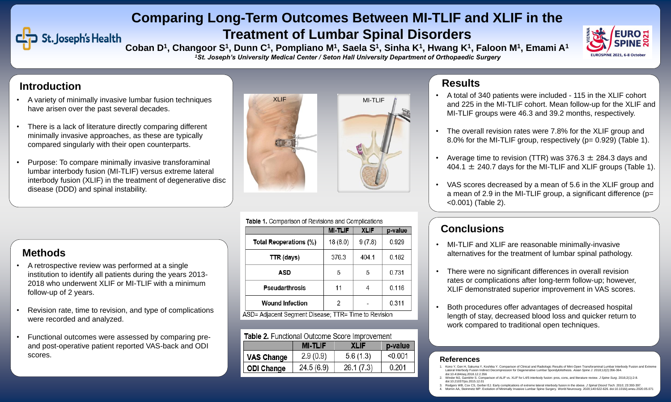## **Methods**

## **Conclusions**

## **Comparing Long-Term Outcomes Between MI-TLIF and XLIF in the Treatment of Lumbar Spinal Disorders**

# St. Joseph's Health

Coban D<sup>1</sup>, Changoor S<sup>1</sup>, Dunn C<sup>1</sup>, Pompliano M<sup>1</sup>, Saela S<sup>1</sup>, Sinha K<sup>1</sup>, Hwang K<sup>1</sup>, Faloon M<sup>1</sup>, Emami A<sup>1</sup> *<sup>1</sup>St. Joseph's University Medical Center / Seton Hall University Department of Orthopaedic Surgery*

- A variety of minimally invasive lumbar fusion techniques have arisen over the past several decades.
- There is a lack of literature directly comparing different minimally invasive approaches, as these are typically compared singularly with their open counterparts.
- Purpose: To compare minimally invasive transforaminal lumbar interbody fusion (MI-TLIF) versus extreme lateral interbody fusion (XLIF) in the treatment of degenerative disc disease (DDD) and spinal instability.

- A retrospective review was performed at a single institution to identify all patients during the years 2013- 2018 who underwent XLIF or MI-TLIF with a minimum follow-up of 2 years.
- Revision rate, time to revision, and type of complications were recorded and analyzed.
- Functional outcomes were assessed by comparing preand post-operative patient reported VAS-back and ODI scores.

### Table 1. Comparison of Revisions and Complications

|                                             | <b>MI-TLIF</b> | <b>XLIF</b> | p-value |  |
|---------------------------------------------|----------------|-------------|---------|--|
| perations (%)                               | 18(8.0)        | 9(7.8)      | 0.929   |  |
| days):                                      | 376.3          | 404.1       | 0.182   |  |
| <b>ASD</b>                                  | 5              | 5           | 0.731   |  |
| larthrosis                                  | 11             |             | 0.116   |  |
| I Infection                                 | 2              |             | 0.311   |  |
| t Cogmant Dicogoo:<br>TTD- Time to Devicion |                |             |         |  |

ASD= Adjacent Segment Disease; TTR= Time to Revision

### Table 2. Functional Outcome Score Improvement

|                   | <b>MI-TLIF</b> | XLIF      | p-value |
|-------------------|----------------|-----------|---------|
| <b>VAS Change</b> | 2.9(0.9)       | 5.6(1.3)  | < 0.001 |
| <b>ODI Change</b> | 24.5(6.9)      | 26.1(7.3) | 0.201   |

- A total of 340 patients were included 115 in the XLIF cohort and 225 in the MI-TLIF cohort. Mean follow-up for the XLIF and MI-TLIF groups were 46.3 and 39.2 months, respectively.
- The overall revision rates were 7.8% for the XLIF group and 8.0% for the MI-TLIF group, respectively (p= 0.929) (Table 1).
- Average time to revision (TTR) was  $376.3 \pm 284.3$  days and 404.1  $\pm$  240.7 days for the MI-TLIF and XLIF groups (Table 1).
- VAS scores decreased by a mean of 5.6 in the XLIF group and a mean of 2.9 in the MI-TLIF group, a significant difference (p= <0.001) (Table 2).





- MI-TLIF and XLIF are reasonable minimally-invasive alternatives for the treatment of lumbar spinal pathology.
- There were no significant differences in overall revision rates or complications after long-term follow-up; however, XLIF demonstrated superior improvement in VAS scores.
- Both procedures offer advantages of decreased hospital length of stay, decreased blood loss and quicker return to work compared to traditional open techniques.

## **References**

- 1. Kono Y, Gen H, Sakuma Y, Koshika Y. Comparison of Clinical and Radiologic Results of Mini-Open Transforaminal Lumbar Interbody Fusion and Extreme Lateral Interbody Fusion Indirect Decompression for Degenerative Lumbar Spondylolisthesis. *Asian Spine J*. 2018;12(2):356-364. doi:10.4184/asj.2018.12.2.356
- 2. Winder MJ, Gambhir S. Comparison of ALIF vs. XLIF for L4/5 interbody fusion: pros, cons, and literature review. *J Spine Surg*. 2016;2(1):2-8. doi:10.21037/jss.2015.12.01
- 3. Rodgers WB, Cox CS, Gerber EJ. Early complications of extreme lateral interbody fusion in the obese. *J Spinal Disord Tech*. 2010; 23:393-397.
- 4. Momin AA, Steinmetz MP. Evolution of Minimally Invasive Lumbar Spine Surgery. *World Neurosurg*. 2020;140:622-626. doi:10.1016/j.wneu.2020.05.071